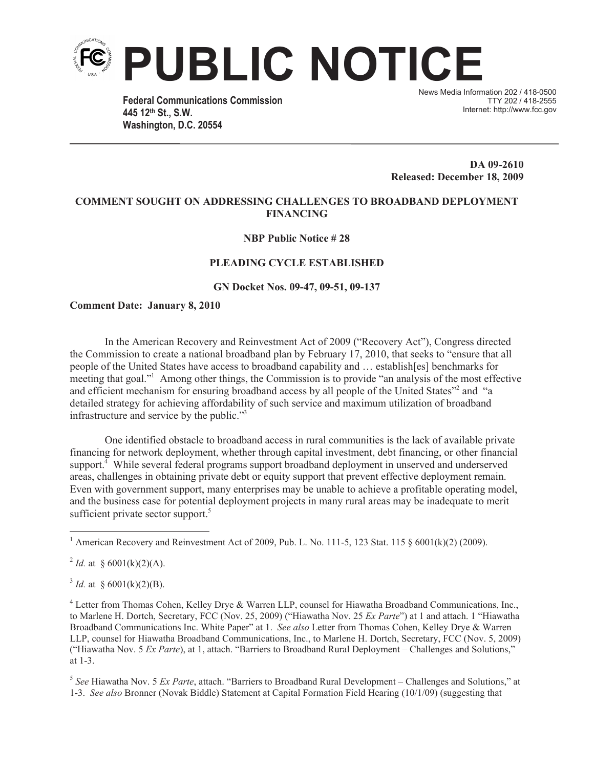

**Federal Communications Commission 445 12th St., S.W. Washington, D.C. 20554**

News Media Information 202 / 418-0500 TTY 202 / 418-2555 Internet: http://www.fcc.gov

**DA 09-2610 Released: December 18, 2009**

## **COMMENT SOUGHT ON ADDRESSING CHALLENGES TO BROADBAND DEPLOYMENT FINANCING**

## **NBP Public Notice # 28**

## **PLEADING CYCLE ESTABLISHED**

**GN Docket Nos. 09-47, 09-51, 09-137**

## **Comment Date: January 8, 2010**

In the American Recovery and Reinvestment Act of 2009 ("Recovery Act"), Congress directed the Commission to create a national broadband plan by February 17, 2010, that seeks to "ensure that all people of the United States have access to broadband capability and … establish[es] benchmarks for meeting that goal."<sup>1</sup> Among other things, the Commission is to provide "an analysis of the most effective and efficient mechanism for ensuring broadband access by all people of the United States"<sup>2</sup> and "a detailed strategy for achieving affordability of such service and maximum utilization of broadband infrastructure and service by the public."<sup>3</sup>

One identified obstacle to broadband access in rural communities is the lack of available private financing for network deployment, whether through capital investment, debt financing, or other financial support.<sup>4</sup> While several federal programs support broadband deployment in unserved and underserved areas, challenges in obtaining private debt or equity support that prevent effective deployment remain. Even with government support, many enterprises may be unable to achieve a profitable operating model, and the business case for potential deployment projects in many rural areas may be inadequate to merit sufficient private sector support.<sup>5</sup>

<sup>2</sup> *Id.* at § 6001(k)(2)(A).

<sup>3</sup> *Id.* at § 6001(k)(2)(B).

5 *See* Hiawatha Nov. 5 *Ex Parte*, attach. "Barriers to Broadband Rural Development – Challenges and Solutions," at 1-3. *See also* Bronner (Novak Biddle) Statement at Capital Formation Field Hearing (10/1/09) (suggesting that

<sup>&</sup>lt;sup>1</sup> American Recovery and Reinvestment Act of 2009, Pub. L. No. 111-5, 123 Stat. 115  $\frac{6001(k)(2)}{2009}$ .

<sup>4</sup> Letter from Thomas Cohen, Kelley Drye & Warren LLP, counsel for Hiawatha Broadband Communications, Inc., to Marlene H. Dortch, Secretary, FCC (Nov. 25, 2009) ("Hiawatha Nov. 25 *Ex Parte*") at 1 and attach. 1 "Hiawatha Broadband Communications Inc. White Paper" at 1. *See also* Letter from Thomas Cohen, Kelley Drye & Warren LLP, counsel for Hiawatha Broadband Communications, Inc., to Marlene H. Dortch, Secretary, FCC (Nov. 5, 2009) ("Hiawatha Nov. 5 *Ex Parte*), at 1, attach. "Barriers to Broadband Rural Deployment – Challenges and Solutions," at 1-3.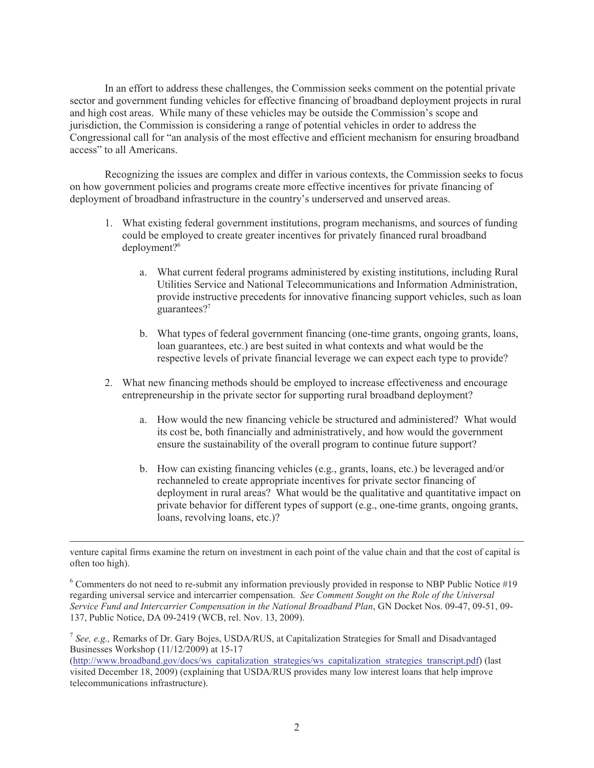In an effort to address these challenges, the Commission seeks comment on the potential private sector and government funding vehicles for effective financing of broadband deployment projects in rural and high cost areas. While many of these vehicles may be outside the Commission's scope and jurisdiction, the Commission is considering a range of potential vehicles in order to address the Congressional call for "an analysis of the most effective and efficient mechanism for ensuring broadband access" to all Americans.

Recognizing the issues are complex and differ in various contexts, the Commission seeks to focus on how government policies and programs create more effective incentives for private financing of deployment of broadband infrastructure in the country's underserved and unserved areas.

- 1. What existing federal government institutions, program mechanisms, and sources of funding could be employed to create greater incentives for privately financed rural broadband deployment?<sup>6</sup>
	- a. What current federal programs administered by existing institutions, including Rural Utilities Service and National Telecommunications and Information Administration, provide instructive precedents for innovative financing support vehicles, such as loan guarantees?<sup>7</sup>
	- b. What types of federal government financing (one-time grants, ongoing grants, loans, loan guarantees, etc.) are best suited in what contexts and what would be the respective levels of private financial leverage we can expect each type to provide?
- 2. What new financing methods should be employed to increase effectiveness and encourage entrepreneurship in the private sector for supporting rural broadband deployment?
	- a. How would the new financing vehicle be structured and administered? What would its cost be, both financially and administratively, and how would the government ensure the sustainability of the overall program to continue future support?
	- b. How can existing financing vehicles (e.g., grants, loans, etc.) be leveraged and/or rechanneled to create appropriate incentives for private sector financing of deployment in rural areas? What would be the qualitative and quantitative impact on private behavior for different types of support (e.g., one-time grants, ongoing grants, loans, revolving loans, etc.)?

<sup>6</sup> Commenters do not need to re-submit any information previously provided in response to NBP Public Notice #19 regarding universal service and intercarrier compensation. *See Comment Sought on the Role of the Universal Service Fund and Intercarrier Compensation in the National Broadband Plan*, GN Docket Nos. 09-47, 09-51, 09- 137, Public Notice, DA 09-2419 (WCB, rel. Nov. 13, 2009).

venture capital firms examine the return on investment in each point of the value chain and that the cost of capital is often too high).

<sup>7</sup> *See, e.g.,* Remarks of Dr. Gary Bojes, USDA/RUS, at Capitalization Strategies for Small and Disadvantaged Businesses Workshop (11/12/2009) at 15-17

<sup>(</sup>http://www.broadband.gov/docs/ws\_capitalization\_strategies/ws\_capitalization\_strategies\_transcript.pdf) (last visited December 18, 2009) (explaining that USDA/RUS provides many low interest loans that help improve telecommunications infrastructure).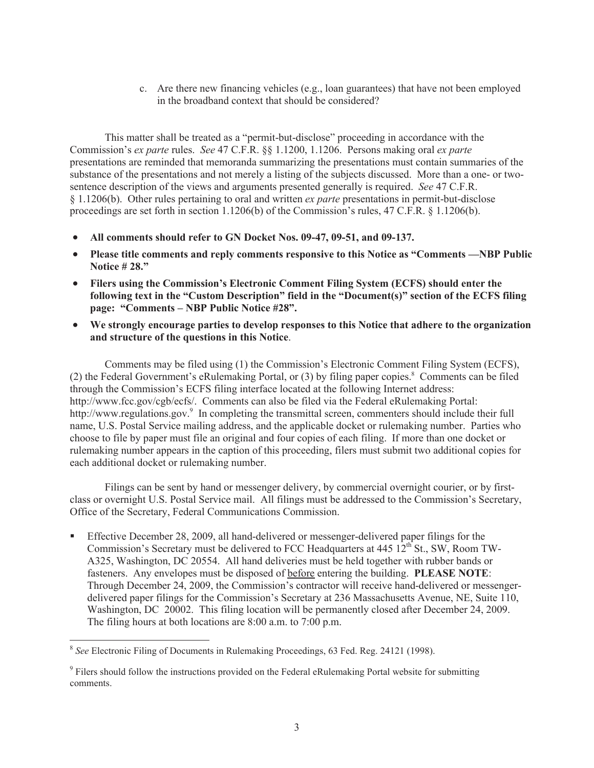c. Are there new financing vehicles (e.g., loan guarantees) that have not been employed in the broadband context that should be considered?

This matter shall be treated as a "permit-but-disclose" proceeding in accordance with the Commission's *ex parte* rules. *See* 47 C.F.R. §§ 1.1200, 1.1206. Persons making oral *ex parte* presentations are reminded that memoranda summarizing the presentations must contain summaries of the substance of the presentations and not merely a listing of the subjects discussed. More than a one- or twosentence description of the views and arguments presented generally is required. *See* 47 C.F.R. § 1.1206(b). Other rules pertaining to oral and written *ex parte* presentations in permit-but-disclose proceedings are set forth in section 1.1206(b) of the Commission's rules, 47 C.F.R. § 1.1206(b).

- · **All comments should refer to GN Docket Nos. 09-47, 09-51, and 09-137.**
- · **Please title comments and reply comments responsive to this Notice as "Comments —NBP Public Notice # 28."**
- · **Filers using the Commission's Electronic Comment Filing System (ECFS) should enter the following text in the "Custom Description" field in the "Document(s)" section of the ECFS filing page: "Comments – NBP Public Notice #28".**
- We strongly encourage parties to develop responses to this Notice that adhere to the organization **and structure of the questions in this Notice**.

Comments may be filed using (1) the Commission's Electronic Comment Filing System (ECFS), (2) the Federal Government's eRulemaking Portal, or  $(3)$  by filing paper copies.<sup>8</sup> Comments can be filed through the Commission's ECFS filing interface located at the following Internet address: http://www.fcc.gov/cgb/ecfs/. Comments can also be filed via the Federal eRulemaking Portal: http://www.regulations.gov.<sup>9</sup> In completing the transmittal screen, commenters should include their full name, U.S. Postal Service mailing address, and the applicable docket or rulemaking number. Parties who choose to file by paper must file an original and four copies of each filing. If more than one docket or rulemaking number appears in the caption of this proceeding, filers must submit two additional copies for each additional docket or rulemaking number.

Filings can be sent by hand or messenger delivery, by commercial overnight courier, or by firstclass or overnight U.S. Postal Service mail. All filings must be addressed to the Commission's Secretary, Office of the Secretary, Federal Communications Commission.

**•** Effective December 28, 2009, all hand-delivered or messenger-delivered paper filings for the Commission's Secretary must be delivered to FCC Headquarters at  $445 \frac{12^{th}}{S}$  St., SW, Room TW-A325, Washington, DC 20554. All hand deliveries must be held together with rubber bands or fasteners. Any envelopes must be disposed of before entering the building. **PLEASE NOTE**: Through December 24, 2009, the Commission's contractor will receive hand-delivered or messengerdelivered paper filings for the Commission's Secretary at 236 Massachusetts Avenue, NE, Suite 110, Washington, DC 20002. This filing location will be permanently closed after December 24, 2009. The filing hours at both locations are 8:00 a.m. to 7:00 p.m.

<sup>8</sup> *See* Electronic Filing of Documents in Rulemaking Proceedings, 63 Fed. Reg. 24121 (1998).

<sup>&</sup>lt;sup>9</sup> Filers should follow the instructions provided on the Federal eRulemaking Portal website for submitting comments.